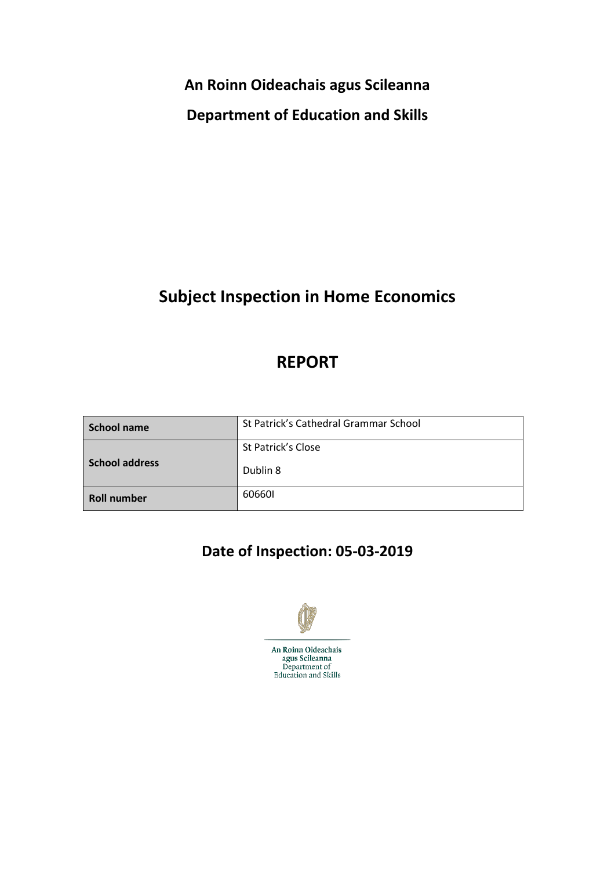**An Roinn Oideachais agus Scileanna**

**Department of Education and Skills**

# **Subject Inspection in Home Economics**

# **REPORT**

| School name           | St Patrick's Cathedral Grammar School |
|-----------------------|---------------------------------------|
|                       | St Patrick's Close                    |
| <b>School address</b> | Dublin 8                              |
| <b>Roll number</b>    | 606601                                |

# **Date of Inspection: 05-03-2019**

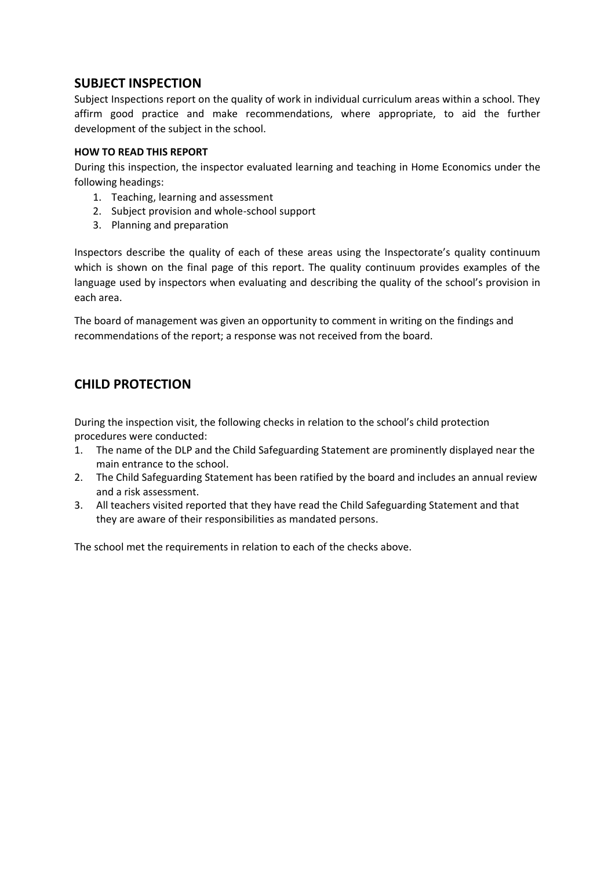## **SUBJECT INSPECTION**

Subject Inspections report on the quality of work in individual curriculum areas within a school. They affirm good practice and make recommendations, where appropriate, to aid the further development of the subject in the school.

## **HOW TO READ THIS REPORT**

During this inspection, the inspector evaluated learning and teaching in Home Economics under the following headings:

- 1. Teaching, learning and assessment
- 2. Subject provision and whole-school support
- 3. Planning and preparation

Inspectors describe the quality of each of these areas using the Inspectorate's quality continuum which is shown on the final page of this report. The quality continuum provides examples of the language used by inspectors when evaluating and describing the quality of the school's provision in each area.

The board of management was given an opportunity to comment in writing on the findings and recommendations of the report; a response was not received from the board.

# **CHILD PROTECTION**

During the inspection visit, the following checks in relation to the school's child protection procedures were conducted:

- 1. The name of the DLP and the Child Safeguarding Statement are prominently displayed near the main entrance to the school.
- 2. The Child Safeguarding Statement has been ratified by the board and includes an annual review and a risk assessment.
- 3. All teachers visited reported that they have read the Child Safeguarding Statement and that they are aware of their responsibilities as mandated persons.

The school met the requirements in relation to each of the checks above.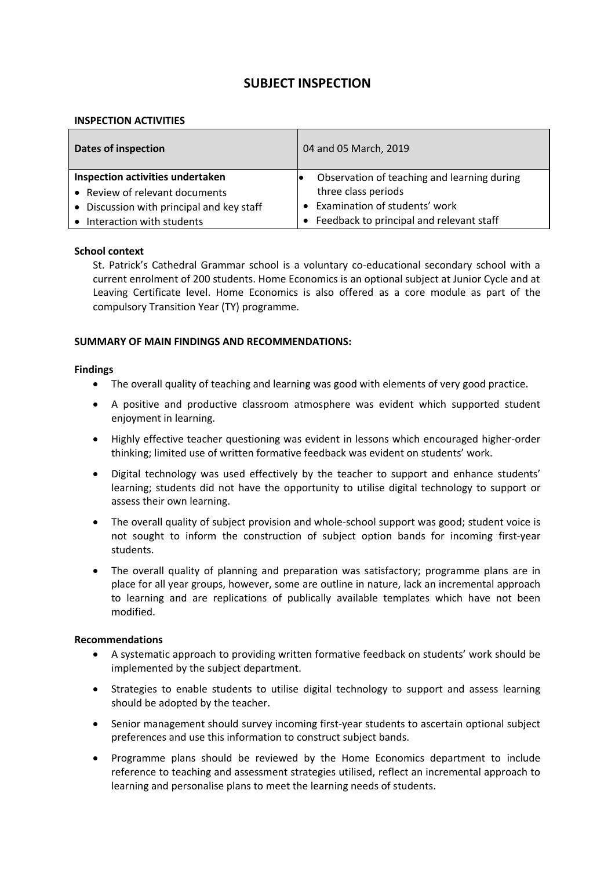## **SUBJECT INSPECTION**

#### **INSPECTION ACTIVITIES**

| <b>Dates of inspection</b>                | 04 and 05 March, 2019                       |  |
|-------------------------------------------|---------------------------------------------|--|
| Inspection activities undertaken          | Observation of teaching and learning during |  |
| • Review of relevant documents            | three class periods                         |  |
| • Discussion with principal and key staff | • Examination of students' work             |  |
| Interaction with students                 | Feedback to principal and relevant staff    |  |

#### **School context**

St. Patrick's Cathedral Grammar school is a voluntary co-educational secondary school with a current enrolment of 200 students. Home Economics is an optional subject at Junior Cycle and at Leaving Certificate level. Home Economics is also offered as a core module as part of the compulsory Transition Year (TY) programme.

#### **SUMMARY OF MAIN FINDINGS AND RECOMMENDATIONS:**

#### **Findings**

- The overall quality of teaching and learning was good with elements of very good practice.
- A positive and productive classroom atmosphere was evident which supported student enjoyment in learning.
- Highly effective teacher questioning was evident in lessons which encouraged higher-order thinking; limited use of written formative feedback was evident on students' work.
- Digital technology was used effectively by the teacher to support and enhance students' learning; students did not have the opportunity to utilise digital technology to support or assess their own learning.
- The overall quality of subject provision and whole-school support was good; student voice is not sought to inform the construction of subject option bands for incoming first-year students.
- The overall quality of planning and preparation was satisfactory; programme plans are in place for all year groups, however, some are outline in nature, lack an incremental approach to learning and are replications of publically available templates which have not been modified.

#### **Recommendations**

- A systematic approach to providing written formative feedback on students' work should be implemented by the subject department.
- Strategies to enable students to utilise digital technology to support and assess learning should be adopted by the teacher.
- Senior management should survey incoming first-year students to ascertain optional subject preferences and use this information to construct subject bands.
- Programme plans should be reviewed by the Home Economics department to include reference to teaching and assessment strategies utilised, reflect an incremental approach to learning and personalise plans to meet the learning needs of students.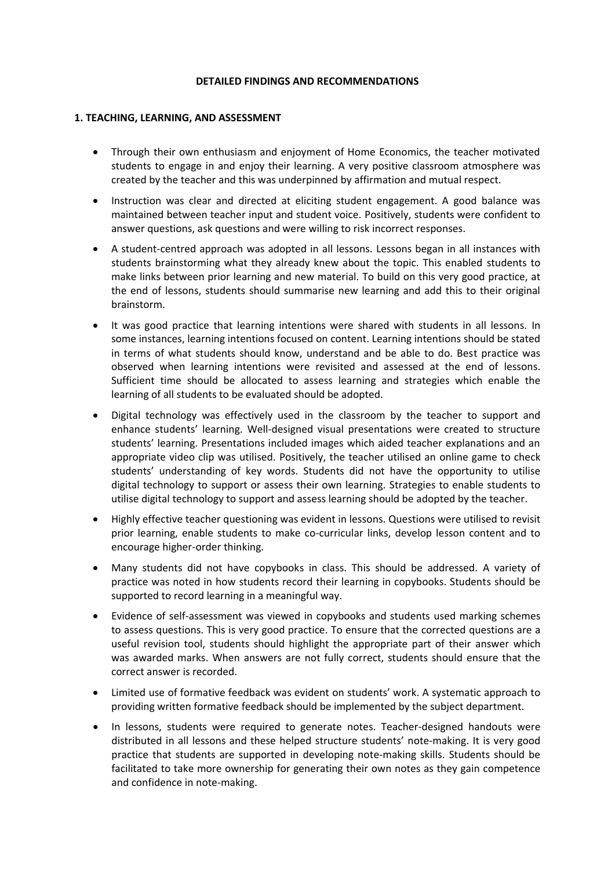#### **DETAILED FINDINGS AND RECOMMENDATIONS**

#### **1. TEACHING, LEARNING, AND ASSESSMENT**

- Through their own enthusiasm and enjoyment of Home Economics, the teacher motivated students to engage in and enjoy their learning. A very positive classroom atmosphere was created by the teacher and this was underpinned by affirmation and mutual respect.
- Instruction was clear and directed at eliciting student engagement. A good balance was maintained between teacher input and student voice. Positively, students were confident to answer questions, ask questions and were willing to risk incorrect responses.
- A student-centred approach was adopted in all lessons. Lessons began in all instances with students brainstorming what they already knew about the topic. This enabled students to make links between prior learning and new material. To build on this very good practice, at the end of lessons, students should summarise new learning and add this to their original brainstorm.
- It was good practice that learning intentions were shared with students in all lessons. In some instances, learning intentions focused on content. Learning intentions should be stated in terms of what students should know, understand and be able to do. Best practice was observed when learning intentions were revisited and assessed at the end of lessons. Sufficient time should be allocated to assess learning and strategies which enable the learning of all students to be evaluated should be adopted.
- Digital technology was effectively used in the classroom by the teacher to support and enhance students' learning. Well-designed visual presentations were created to structure students' learning. Presentations included images which aided teacher explanations and an appropriate video clip was utilised. Positively, the teacher utilised an online game to check students' understanding of key words. Students did not have the opportunity to utilise digital technology to support or assess their own learning. Strategies to enable students to utilise digital technology to support and assess learning should be adopted by the teacher.
- Highly effective teacher questioning was evident in lessons. Questions were utilised to revisit prior learning, enable students to make co-curricular links, develop lesson content and to encourage higher-order thinking.
- Many students did not have copybooks in class. This should be addressed. A variety of practice was noted in how students record their learning in copybooks. Students should be supported to record learning in a meaningful way.
- Evidence of self-assessment was viewed in copybooks and students used marking schemes to assess questions. This is very good practice. To ensure that the corrected questions are a useful revision tool, students should highlight the appropriate part of their answer which was awarded marks. When answers are not fully correct, students should ensure that the correct answer is recorded.
- Limited use of formative feedback was evident on students' work. A systematic approach to providing written formative feedback should be implemented by the subject department.
- In lessons, students were required to generate notes. Teacher-designed handouts were distributed in all lessons and these helped structure students' note-making. It is very good practice that students are supported in developing note-making skills. Students should be facilitated to take more ownership for generating their own notes as they gain competence and confidence in note-making.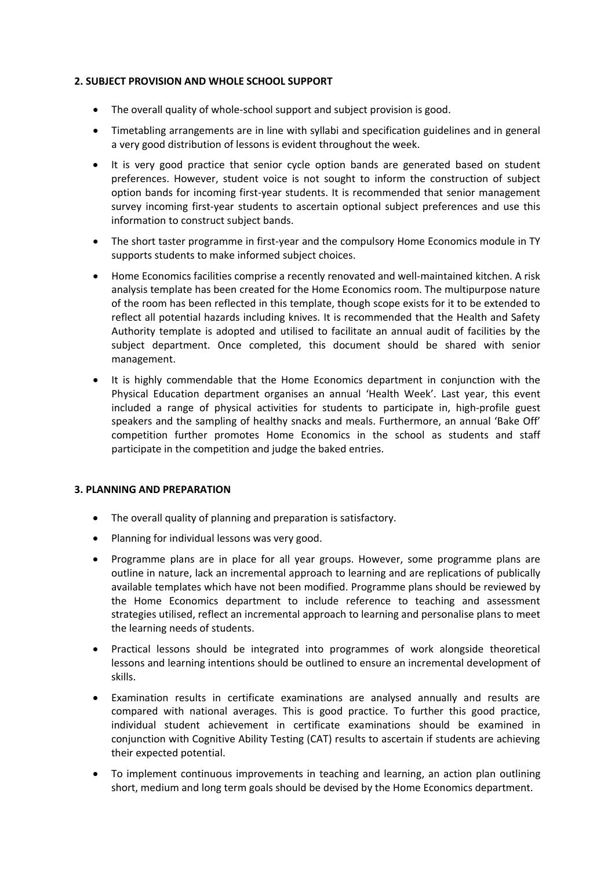### **2. SUBJECT PROVISION AND WHOLE SCHOOL SUPPORT**

- The overall quality of whole-school support and subject provision is good.
- Timetabling arrangements are in line with syllabi and specification guidelines and in general a very good distribution of lessons is evident throughout the week.
- It is very good practice that senior cycle option bands are generated based on student preferences. However, student voice is not sought to inform the construction of subject option bands for incoming first-year students. It is recommended that senior management survey incoming first-year students to ascertain optional subject preferences and use this information to construct subject bands.
- The short taster programme in first-year and the compulsory Home Economics module in TY supports students to make informed subject choices.
- Home Economics facilities comprise a recently renovated and well-maintained kitchen. A risk analysis template has been created for the Home Economics room. The multipurpose nature of the room has been reflected in this template, though scope exists for it to be extended to reflect all potential hazards including knives. It is recommended that the Health and Safety Authority template is adopted and utilised to facilitate an annual audit of facilities by the subject department. Once completed, this document should be shared with senior management.
- It is highly commendable that the Home Economics department in conjunction with the Physical Education department organises an annual 'Health Week'. Last year, this event included a range of physical activities for students to participate in, high-profile guest speakers and the sampling of healthy snacks and meals. Furthermore, an annual 'Bake Off' competition further promotes Home Economics in the school as students and staff participate in the competition and judge the baked entries.

### **3. PLANNING AND PREPARATION**

- The overall quality of planning and preparation is satisfactory.
- Planning for individual lessons was very good.
- Programme plans are in place for all year groups. However, some programme plans are outline in nature, lack an incremental approach to learning and are replications of publically available templates which have not been modified. Programme plans should be reviewed by the Home Economics department to include reference to teaching and assessment strategies utilised, reflect an incremental approach to learning and personalise plans to meet the learning needs of students.
- Practical lessons should be integrated into programmes of work alongside theoretical lessons and learning intentions should be outlined to ensure an incremental development of skills.
- Examination results in certificate examinations are analysed annually and results are compared with national averages. This is good practice. To further this good practice, individual student achievement in certificate examinations should be examined in conjunction with Cognitive Ability Testing (CAT) results to ascertain if students are achieving their expected potential.
- To implement continuous improvements in teaching and learning, an action plan outlining short, medium and long term goals should be devised by the Home Economics department.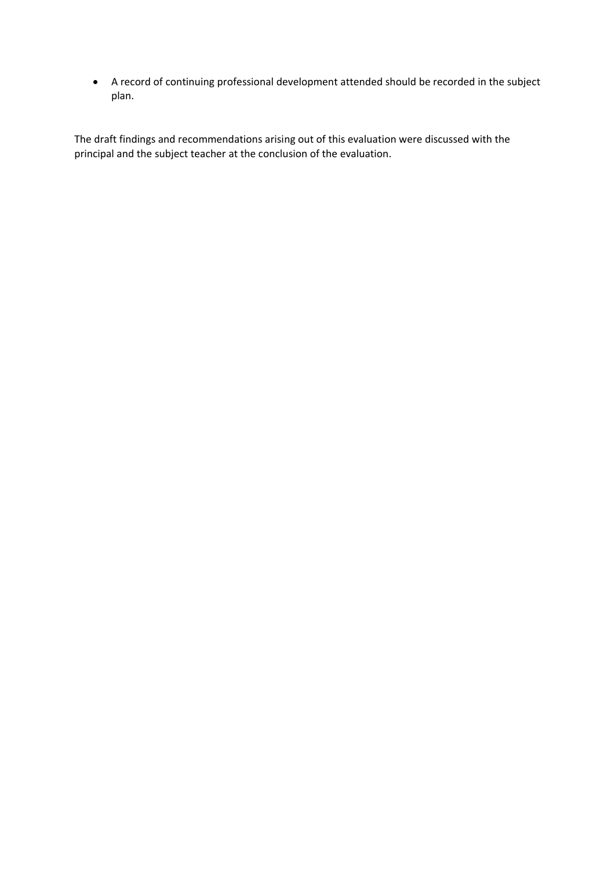A record of continuing professional development attended should be recorded in the subject plan.

The draft findings and recommendations arising out of this evaluation were discussed with the principal and the subject teacher at the conclusion of the evaluation.